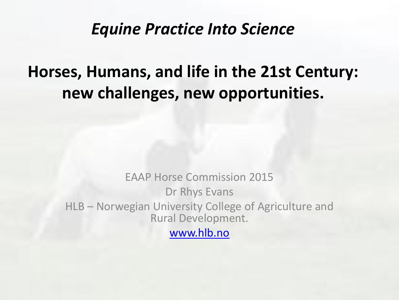#### *Equine Practice Into Science*

### **Horses, Humans, and life in the 21st Century: new challenges, new opportunities.**

EAAP Horse Commission 2015 Dr Rhys Evans HLB – Norwegian University College of Agriculture and Rural Development. [www.hlb.no](http://www.hlb.no/)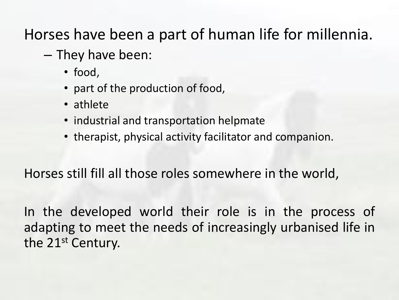Horses have been a part of human life for millennia.

- They have been:
	- food,
	- part of the production of food,
	- athlete
	- industrial and transportation helpmate
	- therapist, physical activity facilitator and companion.

Horses still fill all those roles somewhere in the world,

In the developed world their role is in the process of adapting to meet the needs of increasingly urbanised life in the 21<sup>st</sup> Century.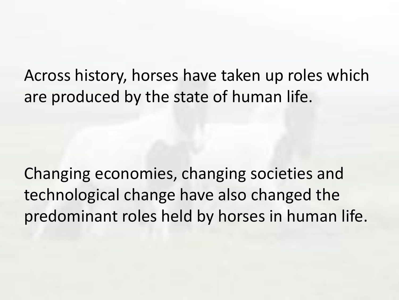Across history, horses have taken up roles which are produced by the state of human life.

Changing economies, changing societies and technological change have also changed the predominant roles held by horses in human life.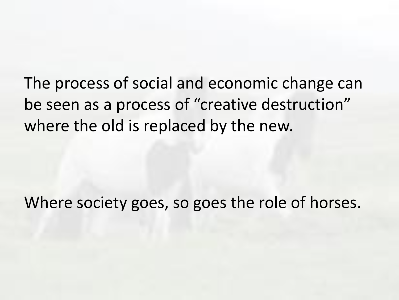The process of social and economic change can be seen as a process of "creative destruction" where the old is replaced by the new.

Where society goes, so goes the role of horses.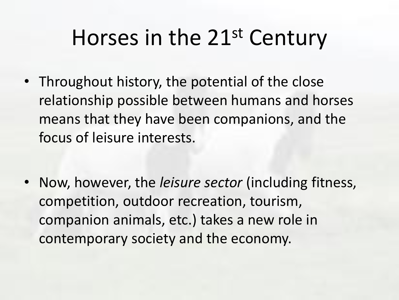## Horses in the 21st Century

- Throughout history, the potential of the close relationship possible between humans and horses means that they have been companions, and the focus of leisure interests.
- Now, however, the *leisure sector* (including fitness, competition, outdoor recreation, tourism, companion animals, etc.) takes a new role in contemporary society and the economy.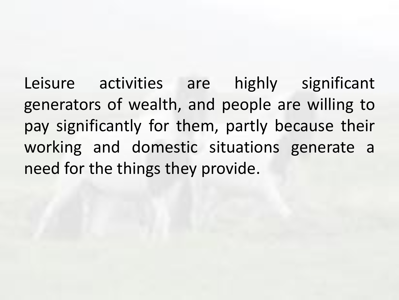Leisure activities are highly significant generators of wealth, and people are willing to pay significantly for them, partly because their working and domestic situations generate a need for the things they provide.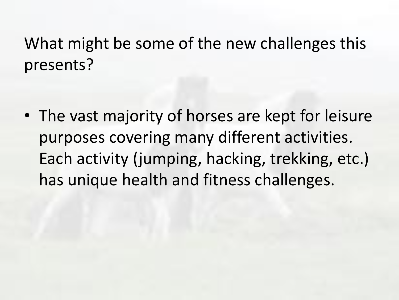What might be some of the new challenges this presents?

• The vast majority of horses are kept for leisure purposes covering many different activities. Each activity (jumping, hacking, trekking, etc.) has unique health and fitness challenges.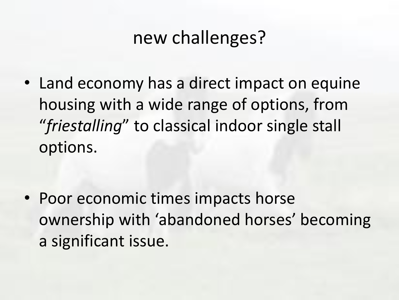## new challenges?

• Land economy has a direct impact on equine housing with a wide range of options, from "*friestalling*" to classical indoor single stall options.

• Poor economic times impacts horse ownership with 'abandoned horses' becoming a significant issue.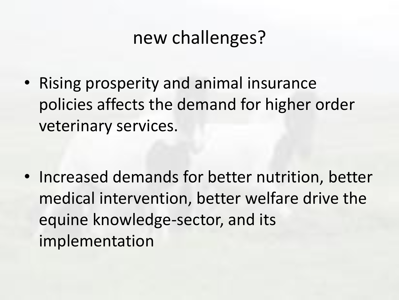## new challenges?

• Rising prosperity and animal insurance policies affects the demand for higher order veterinary services.

• Increased demands for better nutrition, better medical intervention, better welfare drive the equine knowledge-sector, and its implementation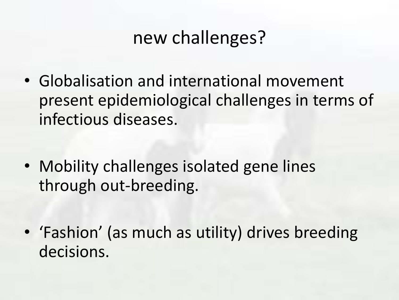## new challenges?

- Globalisation and international movement present epidemiological challenges in terms of infectious diseases.
- Mobility challenges isolated gene lines through out-breeding.
- 'Fashion' (as much as utility) drives breeding decisions.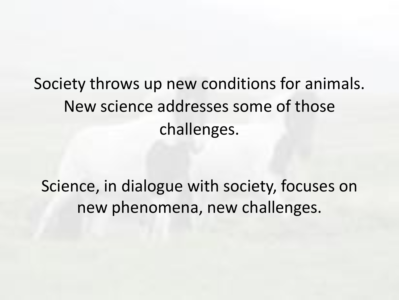Society throws up new conditions for animals. New science addresses some of those challenges.

Science, in dialogue with society, focuses on new phenomena, new challenges.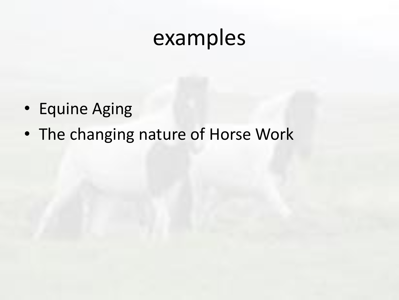## examples

- Equine Aging
- The changing nature of Horse Work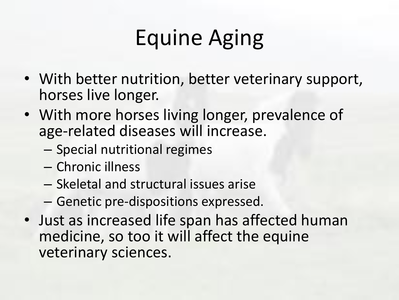# Equine Aging

- With better nutrition, better veterinary support, horses live longer.
- With more horses living longer, prevalence of age-related diseases will increase.
	- Special nutritional regimes
	- Chronic illness
	- Skeletal and structural issues arise
	- Genetic pre-dispositions expressed.
- Just as increased life span has affected human medicine, so too it will affect the equine veterinary sciences.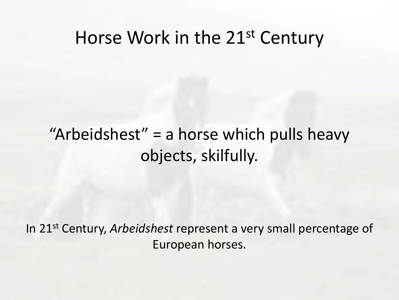### Horse Work in the 21<sup>st</sup> Century

### "Arbeidshest" = a horse which pulls heavy objects, skilfully.

In 21st Century, *Arbeidshest* represent a very small percentage of European horses.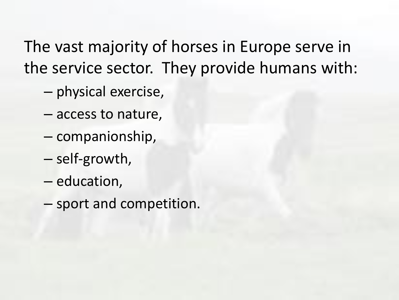The vast majority of horses in Europe serve in the service sector. They provide humans with:

- physical exercise,
- access to nature,
- companionship,
- self-growth,
- education,
- sport and competition.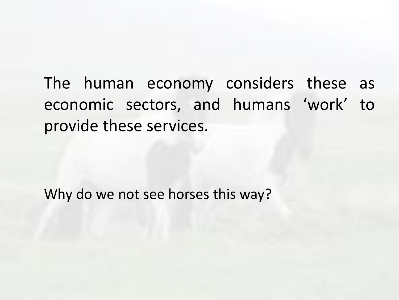The human economy considers these as economic sectors, and humans 'work' to provide these services.

Why do we not see horses this way?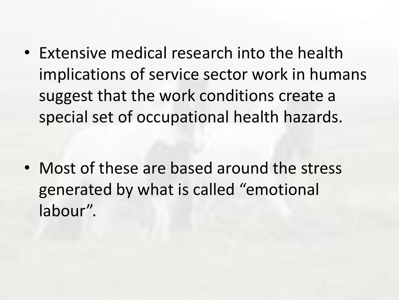• Extensive medical research into the health implications of service sector work in humans suggest that the work conditions create a special set of occupational health hazards.

• Most of these are based around the stress generated by what is called "emotional labour".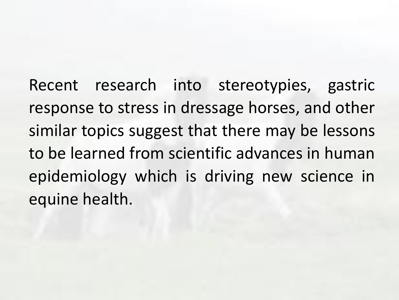Recent research into stereotypies, gastric response to stress in dressage horses, and other similar topics suggest that there may be lessons to be learned from scientific advances in human epidemiology which is driving new science in equine health.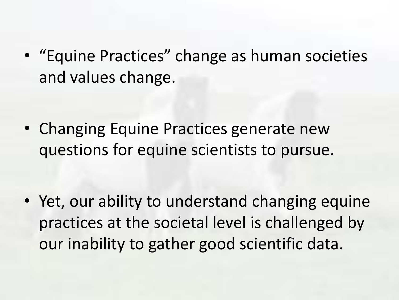• "Equine Practices" change as human societies and values change.

• Changing Equine Practices generate new questions for equine scientists to pursue.

• Yet, our ability to understand changing equine practices at the societal level is challenged by our inability to gather good scientific data.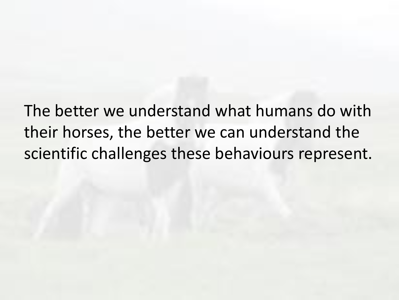The better we understand what humans do with their horses, the better we can understand the scientific challenges these behaviours represent.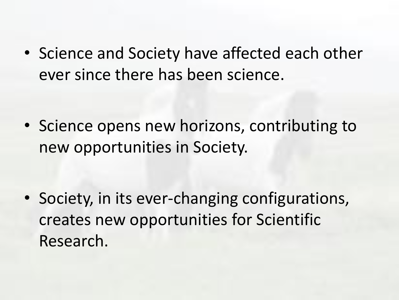• Science and Society have affected each other ever since there has been science.

• Science opens new horizons, contributing to new opportunities in Society.

• Society, in its ever-changing configurations, creates new opportunities for Scientific Research.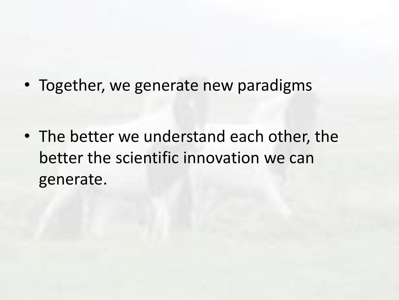• Together, we generate new paradigms

• The better we understand each other, the better the scientific innovation we can generate.